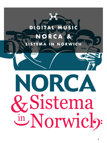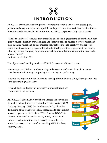<span id="page-2-0"></span>

NORCA & Sistema in Norwich provides opportunities for all children to create, play, perform and enjoy music, to develop skills and appreciate a wide variety of musical forms. We embrace the National Curriculum (Ofsted, 2014) purpose of study which states:

"Music is a universal language that embodies one of the highest forms of creativity. A high quality music education should engage and inspire pupils to develop a love of music and their talent as musicians, and so increase their self-confidence, creativity and sense of achievement. As pupil's progress, they should develop a critical engagement with music, allowing them to compose, improvise and to listen with discrimination to the best in the musical canon."

National Curriculum 2014.

The objectives of teaching music at NORCA & Sistema in Norwich are to:

- •Encourage our children's understanding and enjoyment of music through an active involvement in listening, composing, improvising and performing;
- •Provide the opportunity for children to develop their individual skills, sharing experience and cooperating with others;
- •Help children to develop an awareness of musical traditions from a variety of cultures.

At NORCA & Sistema in Norwich we address the curriculum through a rich and progressive spiral of musical activity (ISM, Daubney, Fautney, 2019) that teaches musical skill, whilst developing other transferable skills recognised to benefit from musical engagement (S. Hallam 2015). Further, NORCA & Sistema in Norwich keeps the social, moral, spiritual and cultural development that is intrinsically involved in the musical process, at the core of our teaching (ISM, Daubney, Fautney, 2019).

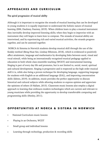### <span id="page-3-0"></span>**APPROACHES AND CURRICULUM**

#### The spiral progression of musical ability

Although it is important to recognise the strands of musical learning that can be developed in young students it is equally important to understand the holistic nature of musical learning (ISM, Daubney, Fautney, 2019). When children learn to play a musical instrument they inevitably develop improved listening skills; when they begin to improvise with an instrument they will begin to learn how to compose. The strands of musical ability are intertwined, and by experiencing rich and varied musical activities, the strands progress together, and can be assessed together.

 NORCA & Sistema in Norwich students develop musical skill through the use of the Kodaly method (Beng Huat See, Lindsay Ibbotson, 2018), which is evidenced to positively affect attainment, language and mathematics by developing links between aural, visual and vocal stimuli, while being an internationally recognised musical pedagogy applied to education in both whole class ensemble teaching (WCET) and instrumental learning. Singing is part of every day life and promotes, but is not limited to, social, moral, spiritual and cultural development. Singing is progressive and is respected as the high order musical skill it is, while also being a proven technique for developing language, supporting language for students with English as an additional language (EAL), and improving concentration skills (Idrees, 2019). In addition, music provides the perfect opportunity to discuss historical and cultural subjects while allowing students to express opinion and appreciate the opinions of others (S Hallam, 2015). Classroom music lessons also employ a digital approach to learning that embraces modern technologies which are current and relevant to young musicians while providing the opportunity to develop transferrable computing and programming skills (Henley, 2011).

### <span id="page-3-1"></span>**OPPORTUNITIES AT NORCA & SISTEMA IN NORWICH**

- National Curriculum music lessons
- Playing in an Orchestra, WCET
- Small group and individual lessons
- Learning through technology, production & recording skills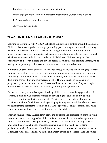- Enrichment experiences, performance opportunities
- Wider engagement through non-orchestral instruments (guitar, ukelele, choir)
- In School and after school sessions
- Early years development

### <span id="page-4-0"></span>**TEACHING AND LEARNING MUSIC**

Learning to play music with NORCA & Sistema in Norwich is centred around the orchestra. Children play music together in groups promoting peer learning and student-led learning, which in turn leads to improved social skills through the natural community of the orchestra. We encourage children to participate in a variety of musical experiences through which we endeavour to build the confidence of all children. Children are given the opportunity to discover, explore and develop technical skills through practical lessons, while having the opportunity to discuss and express musical and cultural opinion.

A students understanding of music is developed through activities which bring together the National Curriculum requirements of performing, improvising, composing, listening and appraising. Children are taught to make music together, to read musical notation, whilst developing composition and improvisation skills. They are taught to sing and play progressively, increasing the control of voice and instrument over time. They are taught different ways to read and represent sounds graphically and symbolically.

One of the primary methods employed to help children to access and engage with music at Sistema, is singing. Our teaching focuses on developing the students ability to sing expressively, in tune and with other people. This is achieved through weekly singing activities and choirs for children of all ages. Singing is progressive and therefore, at Sistema, we select singing repertoire carefully, to match the appropriate level of student age, while arranging music with parts accessible for students of all ability.

Through singing songs, children learn about the structure and organisation of music while learning to listen to and appreciate different forms of music from various backgrounds and cultures. Children learn to sing (and sign) with Sol-fa, a system of developing musical understanding by matching the musical notes we sing, with a hand sign. Singing performances with Sistema are often linked to school celebrations and calendar events such as Harvest, Christmas, Spring, Valentine and Easter, as well as a schools ethos and values.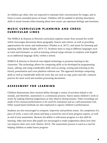As children get older, they are expected to maintain their concentration for longer, and to listen to more extended pieces of music. Children will be enabled to develop descriptive skills in music lessons when learning about how music can represent feelings and emotions.

### <span id="page-5-0"></span>**MUSIC CURRICULUM PLANNING AND CROSS CURRICULAR LINKS**

The NORCA & Sistema in Norwich curriculum explores music from around the world which encourages discussion about geography, history and culture, as well as providing opportunities for music and mathematics (Viladot et al, 2017), and music for listening and speaking skills (Julian Knight, 2015-17). Students learn to sing in different languages such as Latin and Germanic, as well as learning cultural songs relevant to students with English as an additional language (EAL) within a school.

NORCA & Sistema in Norwich uses digital technology to promote learning in the classroom. The technology allows for computing skills to be developed by programming music, editing, and using transferable skills such as saving, storing and restoring in the Icloud, presentation and cross platform software use. The approach develops computing skills as well as transferable skills for every day use such as copy, paste and edit, common practice for most word and number processing documents.

### <span id="page-5-1"></span>**ASSESSMENT FOR LEARNING**

Children demonstrate their musical ability through a variety of activities linked to the strands, and therefore, assessment is a continuous process. Tutors assess children's work in music by making informal judgements as they observe during lessons. Video recordings are made of live musical performances to be used for evaluation and as a self-assessment tool. Other sound based methods are also employed to capture children's performances.

Students are also encouraged to compose, improvise and perform music. On completion of a piece of work, a tutor will assess and keep a record for end of term progress reports, as well as end of year assessment. Because the ability to self-assess progress is a key skill for learning, older and more able pupils are encouraged to make judgements about how they can improve their own work (Hattie, 2012). The assessment process is used as a tool for helping children to make future progress.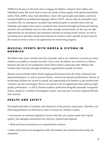NORCA & Sistema in Norwich aims to engage all children, whatever their ability and individual needs. We strive hard to meet the needs of those pupils with special educational needs (TDA, 2009), those with disabilities, those with special gifts and talents, and those learning English as an additional language (Idrees, 2019), and we take all reasonable steps to achieve this. In catering for our gifted and talented pupils we provide them with the challenge and support they need to maximise their potential through teaching and learning activities that specifically cater for their above average musical needs. In this way we offer opportunities for enrichment and extension activities in existing music lessons, as well as providing lunch and after school club sessions for students with a specific musical interest. All musical activity is seen as an opportunity for monitoring progress.

### <span id="page-6-0"></span>**MUSICAL EVENTS WITH NORCA & SISTEMA IN NORWICH**

We believe that music enriches the lives of people, and so we endeavour to involve as many children as possible in musical activities. Every year, all children are involved in a Winter, Summer and end of year production which allows them to showcase their abilities and broaden their horizons through enrichment opportunities outside of school.

Sistema events include whole school singing performances from the choir, orchestral and band performances, as well as musical theatre, carnival and operatic performance. Parents of performing children are invited to attend, and opportunities for families to get involved and volunteer are also encouraged. We are very proud to be an organisation that embraces high quality performance - in 2019, Sistema students performed alongside nationally recognised artists, played at a number of prestigious venues, and took part in several regional festivals and carnivals.

### <span id="page-6-1"></span>**HEALTH AND SAFETY**

The health and safety of students with Sistema is of the greatest importance. Therefore, the following guidelines are followed in order to ensure our children's safety:

• Instruments are checked regularly to ensure that they are in good repair and of good quality. Any damaged instruments are removed, repaired and replaced

• Wind and brass instruments are cleaned before sessions

• Heavy instruments are managed by staff, and students are monitored when using the equipment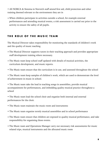• All NORCA & Sistema in Norwich staff attend first aid, child protection and other training deemed relevant to the environment they are in

• When children participate in activities outside a school, for example external performances and attending musical events, a risk assessment is carried out prior to the activity to ensure the safety of all pupils.

### <span id="page-7-0"></span>**THE ROLE OF THE MUSIC TEAM**

The Musical Director takes responsibility for monitoring the standards of children's work and the quality of music teaching

- The Musical Director supports tutors in their teaching approach and provides appropriate staff development training where necessary.
- The Music team keep school staff updated with details of musical activities, the curriculum development, and music reports.
- The Music team ensure that the curriculum is in use, and assessed throughout the school

• The Music team keep samples of children's work, which are used to demonstrate the level of achievement in music in school.

• The Music team take the lead in teaching songs in assemblies, provide musical accompaniment for performances, and imbedding quality musical practice throughout a school

• The Music team lead the school choir and organise both internal and external performances for the choir.

- The Music team maintain the music room and instruments
- The Music team organise termly musical assemblies and in school performance
- The Music team ensure that children are exposed to quality musical performance, and take responsibility for organising these events.
- The Music team and Operations Manager carry out necessary risk assessments for music related trips, musical instruments and the allocated music room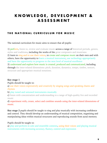## <span id="page-8-0"></span>**KNOWLEDGE, DEVELOPMENT & ASSESSMENT**

### <span id="page-8-1"></span>**THE NATIONAL CURRICULUM FOR MUSIC**

The national curriculum for music aims to ensure that all pupils:

1) perform, listen to, review and evaluate music across a range of historical periods, genres, styles and traditions, including the works of the great composers and musicians 2) learn to sing and to use their voices, to create and compose music on their own and with others, have the opportunity to learn a musical instrument, use technology appropriately and have the opportunity to progress to the next level of musical excellence 3) understand and explore how music is created, produced and communicated, including through the inter-related dimensions: pitch, duration, dynamics, tempo, timbre, texture, structure and appropriate musical notations.

#### **Key stage 1**

Pupils should be taught to:

a) use their voices expressively and creatively by singing songs and speaking chants and rhymes

b) play tuned and untuned instruments musically

c) listen with concentration and understanding to a range of high-quality live and recorded music

d) experiment with, create, select and combine sounds using the inter-related dimensions of music.

**Key stage 2** pupils should be taught to sing and play musically with increasing confidence and control. They should develop an understanding of musical composition, organising and manipulating ideas within musical structures and reproducing sounds from aural memory.

#### Pupils should be taught to:

a) play and perform in solo and ensemble contexts, using their voices and playing musical instruments with increasing accuracy, fluency, control and expression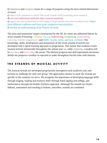b) improvise and compose music for a range of purposes using the inter-related dimensions of music

c) listen with attention to detail and recall sounds with increasing aural memory

d) use and understand staff and other musical notations

e) appreciate and understand a wide range of high-quality live and recorded music drawn from different traditions and from great composers and musicians f) develop an understanding of the history of music.

The aims and attainment targets summarised by the NC for music are addressed below, by seven strands of learning - Singing, Playing, Improvising, Composing, Transcribing, Listening (critical engagement) and SMSC (social, moral, spiritual, cultural). The knowledge, skills, development and assessment of the seven strands of activity are developed with a spiral learning approach to progression. This means that students revisit musical activity intrinsically throughout the school year, i.e. while *composing*, a student will be *describing* and *transcribing* the music. The Musical progress and skill expectation document details the progress a student is expected to make throughout his/her time with Sistema.

### <span id="page-9-0"></span>**THE STRANDS OF MUSICAL ACTIVITY**

The musical strands are developed progressively throughout each academic year, and increase in challenge for each year group. The approaches chosen to teach the strands are specific to the students we serve. We recognise the importance of developing language skills through singing, reading and memory skills through hand signing and solfege, and mathematics through the Kodaly rhythmic approach. Although the strands are clearly defined, assessment and teaching is holistic, and often, strands are combined.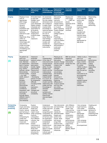| <b>Musical</b><br><b>Activity</b>                                  | <b>Desired Skills</b>                                                                                                                                                                                                                                                                                                                                                                                                                                   | <b>Approaches to</b><br>developing<br><b>skills</b>                                                                                                                                                                                                                                                                                                      | <b>Desired</b><br>knowledge and<br>understanding                                                                                                                                                                                                                                                                                                                                                                                              | <b>Approaches to</b><br>developing<br>knowledge and<br>understanding                                                                                                                                                                                                                                                                       | <b>Curricula</b><br>materials                                                                                                                                                                                                             | <b>Assessment</b><br>criteria                                                                                                                                                                                                                                                                            | <b>Assessed</b><br>through                                                                                                  |
|--------------------------------------------------------------------|---------------------------------------------------------------------------------------------------------------------------------------------------------------------------------------------------------------------------------------------------------------------------------------------------------------------------------------------------------------------------------------------------------------------------------------------------------|----------------------------------------------------------------------------------------------------------------------------------------------------------------------------------------------------------------------------------------------------------------------------------------------------------------------------------------------------------|-----------------------------------------------------------------------------------------------------------------------------------------------------------------------------------------------------------------------------------------------------------------------------------------------------------------------------------------------------------------------------------------------------------------------------------------------|--------------------------------------------------------------------------------------------------------------------------------------------------------------------------------------------------------------------------------------------------------------------------------------------------------------------------------------------|-------------------------------------------------------------------------------------------------------------------------------------------------------------------------------------------------------------------------------------------|----------------------------------------------------------------------------------------------------------------------------------------------------------------------------------------------------------------------------------------------------------------------------------------------------------|-----------------------------------------------------------------------------------------------------------------------------|
| <b>Singing</b><br>(1)                                              | Singing in tune<br>with an<br>appropriate<br>pitch range,<br>control of<br>dynamic<br>changes,<br>expression and<br>awareness of<br>harmony<br>(relevant to year<br>group<br>objectives). Sing<br>within an<br>appropriate<br>vocal range with<br>clear diction,<br>mostly accurate<br>tuning, control<br>of breathing and<br>appropriate<br>tone.                                                                                                      | All student learn<br>to sing with<br>Solfege, hand<br>singing and<br>choir rehearsals.<br>Weekly singing<br>rehearsals and<br>assemblies for<br>all students.<br>Reading and<br>singing from<br>musical charts<br>in the<br>classroom.                                                                                                                   | An awareness<br>and control of<br>the inter related<br>dimensions and<br>the confidence<br>to apply these<br>musical skills.<br>Knowledge of<br>historical pieces<br>of music and<br>the use of<br>language in<br>song. Ability to<br>read Solfege,<br>and express<br>vocally, and<br>transfer the<br>knowledge to<br>instruments.                                                                                                            | Discussing<br>historical<br>harmonic,<br>structural and<br>melodic theory,<br>and the impact<br>on musical<br>genre. Applying<br>modal changes<br>of a major<br>solfege scale to<br>music.<br>Practising<br>responding to<br>musical notation<br>with voice.<br>Opportunities to<br>demonstrate in<br>a solo and<br>ensemble<br>context.   | Singing and<br>choir songs<br>). BBC ten<br>pieces<br>repertoire 2019.<br>Winter/<br>Christmas<br>songs for<br>concerts.                                                                                                                  | -Ability to sing<br>in an ensemble<br>and/or solo<br>context.<br>-Ability to<br>represent<br>musical notation<br>with voice.<br>-Ability to<br>recreate both<br>melody and<br>harmony parts.<br>-Achieve vocal<br>range<br>appropriate for<br>age group.                                                 | Responding,<br>Talking,<br>Notating,<br>reading,<br>recording,<br>performing.                                               |
| <b>Playing</b><br>$\left( 2\right)$                                | To perform as<br>part of an<br>ensemble and<br>solo. Maintain<br>an independent<br>part in a group<br>when playing<br>(e.g. rhythm,<br>ostinato, drone).<br>Demonstrate<br>musical quality<br>- e.g. clear<br>starts, ends of<br>pieces /<br>phrases,<br>technical<br>accuracy.<br>Demonstrate<br>increasing<br>confidence,<br>expression, skill<br>and level of<br>musicality<br>through taking<br>different roles in<br>performance<br>and rehearsal. | Classroom<br>ensemble<br>sessions using a<br>variety of<br>instruments<br>(percussion,<br>ukulele, digital<br>instruments).<br>Playing from<br>memory and<br>musical<br>notation.<br>~Developing<br>pieces of music<br>by progressive<br>difficulty<br>including further<br>use of<br>expression,<br>dynamic<br>changes and<br>structural<br>complexity. | An<br>understanding<br>of the roles of<br>instruments and<br>musical texture.<br>An imbedded<br>ability of pulse,<br>duration and<br>rhythm and the<br>mathematical<br>understanding<br>needed to play<br>independently<br>to a count. An<br>understanding<br>of pitch and the<br>relationship with<br>scales and key.<br>Knowledge of<br>standard<br>musical<br>symbols and<br>notation (repeat,<br>Piano/Forte,<br>staccato/legato<br>etc). | Playing as an<br>ensemble and<br>discussing<br>dynamic change<br>and the musical<br>notation that<br>represents<br>changes.<br>Counting bars<br>and phrases<br>and studying<br>popular<br>structures in<br>western music.<br>Exploring<br>differences in<br>musical cultures<br>and how they<br>are written,<br>expressed and<br>produced. | <b>BBC</b> ten pieces<br>repertoire,<br>performing on<br>instruments<br>songs from the<br>season.                                                                                                                                         | -Ability to play a<br>part in an<br>ensemble and<br>keep a rhythm<br>part accurately<br>to a pulse.<br>-Ability to play a<br>solo part and<br>play the part as<br>a lead<br>instrument to an<br>accompanying<br>ensemble.<br>- Ability to<br>express musical<br>notation with a<br>chosen<br>instrument. | Performance<br>and<br>performance<br>elements<br>criteria,<br>Notating,<br>responding,<br>talking,<br>recording,<br>making. |
| <b>Composing,</b><br>arranging,<br>producing.<br>$\left( 3\right)$ | Composing<br>music and song<br>with structure,<br>rhythm, texture<br>and harmony in<br>Major and Minor<br>keys.<br>Composing for<br>media and<br>theatre using<br>mood and<br>ambient music.                                                                                                                                                                                                                                                            | Explore<br>composing<br>styles and<br>scales that<br>match mood<br>while comparing<br>rhythmic<br>composition<br>from different<br>cultures. Use<br>variety of<br>timbre/<br>instruments to<br>express mood.<br>Study then<br>replicate song<br>structure for<br>songwriting.                                                                            | Understand<br>major/minor and<br>modal uses and<br>variants for<br>songwriting and<br>composition. An<br>understanding<br>of harmony and<br>the application<br>in composition.<br>Understand<br>media and<br>theatre sound<br>and how to<br>apply to visuals.<br>Understand<br>cultural uses of<br>composition.                                                                                                                               | Use instruments<br>and technology<br>to create<br>harmony/<br>melody for<br>leitmotif/media/<br>theatre and<br>perform the<br>results. Write<br>and record<br>songs With<br>sections then<br>peer assess, the<br>texture and<br>structural<br>influences.                                                                                  | John Williams<br>film music for<br>media. Jack<br>Foley and the<br>methodology of.<br>Opera<br>composition<br>and musical<br>theatre<br>performances.<br>Composing in<br>major/minor,<br>Mahler,<br>Beethoven,<br>Beatles, Beach<br>Boys. | -Can compose<br>2 part harmony.<br>-Can create<br>music for media<br>using<br>appropriate<br>mood with<br>explanation<br>why.<br>-Can compose<br>lyrics musically<br>to<br>accompaniment                                                                                                                 | Creating and<br>making,<br>Explaining<br>decisions in<br>discussion,<br>presenting final<br>compositions.                   |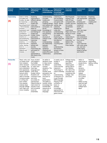| <b>Musical</b><br><b>Activity</b>       | <b>Desired Skills</b>                                                                                                                                                                                                                                                                                                                                    | <b>Approaches to</b><br>developing<br><b>skills</b>                                                                                                                                                                                                                                                                                                                                     | <b>Desired</b><br>knowledge and<br>understanding                                                                                                                                                                                                                                                                                                                   | <b>Approaches to</b><br>developing<br>knowledge and<br>understanding                                                                                                                                                                                                                                                                                                           | <b>Curricula</b><br>materials                                                                                                                                                                                                                                                                             | <b>Assessment</b><br>criteria                                                                                                                                                                                                                                                                                                                            | <b>Assessed</b><br>through                                         |
|-----------------------------------------|----------------------------------------------------------------------------------------------------------------------------------------------------------------------------------------------------------------------------------------------------------------------------------------------------------------------------------------------------------|-----------------------------------------------------------------------------------------------------------------------------------------------------------------------------------------------------------------------------------------------------------------------------------------------------------------------------------------------------------------------------------------|--------------------------------------------------------------------------------------------------------------------------------------------------------------------------------------------------------------------------------------------------------------------------------------------------------------------------------------------------------------------|--------------------------------------------------------------------------------------------------------------------------------------------------------------------------------------------------------------------------------------------------------------------------------------------------------------------------------------------------------------------------------|-----------------------------------------------------------------------------------------------------------------------------------------------------------------------------------------------------------------------------------------------------------------------------------------------------------|----------------------------------------------------------------------------------------------------------------------------------------------------------------------------------------------------------------------------------------------------------------------------------------------------------------------------------------------------------|--------------------------------------------------------------------|
| <b>Improvising</b><br>$\left( 4\right)$ | Uses a variety<br>of scales and<br>modes, be able<br>to improvise<br>melody to<br>accompaniment<br>. Demonstrates<br>musical<br>expression and<br>instrument<br>confidence.<br>Improvising with<br>rhythms to<br>accompanying<br>rhythms/poly<br>rhythms.<br>Improvise with<br>voice, varying<br>tone to<br>represent<br>objects and<br>moods.           | Exploring<br>improvising in<br>different genres<br>and using<br>scales with<br>voice and<br>instruments to<br>listen to/<br>compare moods<br>and feelings of<br>scales and<br>modes. Using<br>percussive<br>instruments to<br>improvise<br>rhthyms,<br>represent<br>stories with<br>sounds.<br>Improvising rap<br>and poetry to<br>music<br>appropriate to<br>the mood of the<br>music. | Understanding<br>of scales,<br>modes and<br>phrasing.<br>Creating ostinati<br>and melody with<br>conclusion, 'on<br>the fly'.<br>Knowledge of<br>time signature<br>and phrasing<br>and the<br>structure of<br>melody to bar<br>length.<br>Understanding<br>the relationship<br>between<br>rhythmic<br>speaking/<br>chanting and<br>poetry/time and<br>mathematics. | Listening to,<br>and recreating<br>musical styles<br>and genre with<br>improv (blues,<br>samba, rap,<br>classical).<br>Reading the<br>notes and<br>understanding<br>the relationship<br>to a scale.<br>Exploring the<br>major scale and<br>the effect of<br>modality.<br>Counting bars<br>and<br>understanding<br>the fraction/<br>division of time<br>(Lambic<br>pentameter). | Ella Fitzgerald<br>singing in the<br>style of Scat,<br>compared with<br>modern rap and<br>the Lambic<br>pentameter.<br><b>Blues</b><br>improvising.<br>Major and minor<br>pieces of music<br>and the<br>relationship to<br>modes and<br>improving - i.e.<br>Mahler's 5th,<br>Ode to Joy,<br>Frera Jacque. | -Can improvise<br>with appropriate<br>musical<br>phrasing and<br>expression in a<br>number of<br>styles and<br>genres.<br>-Can use major<br>and minor<br>scales<br>appropriately,<br>and understand<br>when to change<br>from one to<br>another.<br>-Can improvise<br>with voice using<br>rap, scat and<br>poetry being<br>aware of tempo<br>and rhythm. | Exploring,<br>performing,<br>recording,<br>creating and<br>making. |
| <b>Transcribe</b><br>(5)                | Read, write, and<br>re-create music<br>from notation,<br>either standard<br>or created. Use<br>and understand<br>time signatures.<br>Identify detailed<br>texture within<br>music and be<br>able to recreate<br>numerous parts<br>in writing and<br>from written.<br>Can express<br>melody ideas<br>through solfege<br>with major and<br>minor modality. | Every student<br>will engage in<br>the Kodaly<br>method to learn<br>to 'read' from<br>hand sign<br>language and<br>write using<br>Kodaly rhythm.<br>Students will<br>compose music<br>and write<br>accurately for<br>reproduction.<br>Opportunities to<br>read charts for<br>popular music,<br>and orchestral<br>score for<br>ensembles.                                                | An ability to<br>decipher music<br>in many forms<br>for different<br>musical<br>situations. The<br>ability to<br>transfer aural<br>perception into<br>written form,<br>and back to<br>aural<br>presentation.<br>The ability to<br>transfer written<br>knowledge into<br>transferrable<br>sequences of<br>music and<br>language.                                    | A weekly use of<br>Kodaly in<br>singing,<br>assemblies,<br>choirs and the<br>classroom.<br>Technology to<br>used to develop<br>an<br>understanding<br>of frequency of<br>music through<br>MIDI language.<br>Playing in the<br>orchestra, or<br>band, to<br>develop<br>knowledge<br>appropriate to<br>instrument and<br>genre choice.                                           | Solfege singing<br>and signing<br>repertoire.<br>Classic/great<br>pieces Ode to<br>Joy, Mahlers<br>5th, Hall of the<br>mountain king<br>transferred into<br>solfege, midi<br>and score.                                                                                                                   | - Ability to<br>write music in<br>simple forms.<br>- Ability to<br>write<br>dynamic,<br>expressive<br>and inter-<br>related<br>dimensions<br>into a piece<br>of written<br>music.<br>Ability to sing,<br>-<br>read and sign<br>music using<br>solfege hand<br>signs.                                                                                     | Notating,<br>responding,<br>talking, writing,<br>making.           |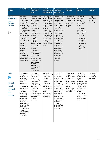| <b>Musical</b><br><b>Activity</b>                                                   | <b>Desired Skills</b>                                                                                                                                                                                                                                                                                                                                                                                                                                 | <b>Approaches to</b><br>developing<br><b>skills</b>                                                                                                                                                                                                                                                                                                                                                                                                                                                                                                    | <b>Desired</b><br>knowledge and<br>understanding                                                                                                                                                                                                                                                                  | <b>Approaches to</b><br>developing<br>knowledge and<br>understanding                                                                                                                                                                                                                                                                                                                                                                                                | <b>Curricula</b><br>materials                                                                                                                                                                       | <b>Assessment</b><br>criteria                                                                                                                                                                                                                                           | <b>Assessed</b><br>through                               |
|-------------------------------------------------------------------------------------|-------------------------------------------------------------------------------------------------------------------------------------------------------------------------------------------------------------------------------------------------------------------------------------------------------------------------------------------------------------------------------------------------------------------------------------------------------|--------------------------------------------------------------------------------------------------------------------------------------------------------------------------------------------------------------------------------------------------------------------------------------------------------------------------------------------------------------------------------------------------------------------------------------------------------------------------------------------------------------------------------------------------------|-------------------------------------------------------------------------------------------------------------------------------------------------------------------------------------------------------------------------------------------------------------------------------------------------------------------|---------------------------------------------------------------------------------------------------------------------------------------------------------------------------------------------------------------------------------------------------------------------------------------------------------------------------------------------------------------------------------------------------------------------------------------------------------------------|-----------------------------------------------------------------------------------------------------------------------------------------------------------------------------------------------------|-------------------------------------------------------------------------------------------------------------------------------------------------------------------------------------------------------------------------------------------------------------------------|----------------------------------------------------------|
| <b>Critical</b><br><b>Engagement.</b><br>(Listen,<br>Describe,<br>Identify).<br>(6) | Can use the<br>inter related<br>dimensions to<br>evaluate a piece<br>of music<br>accurately, Can<br>use language to<br>describe the<br>tempo, dynamic<br>and timbre<br>within music.<br>Aurally identify<br>and recognise/<br>respond to,<br>basic symbols<br>(standard and<br>invented),<br>including<br>rhythms from<br>standard<br>Western<br>notation (e.g.<br>crotchets,<br>quavers) and<br>basic changes<br>in pitch within a<br>limited range. | Listening to 'the<br>greats' and their<br>compositions,<br>and speaking<br>about the<br>texture,<br>structure and<br>use of the inter<br>related<br>dimensions.<br>Develop Solfege<br>as a tool for<br>hearing and<br>explaining<br>changes in<br>pitch. Develop<br>Kodaly rhythmic<br>terminology for<br>identifying<br>rhythmic<br>change and<br>patterns. Listen<br>to ideas from<br>others, taking<br>turns as<br>appropriate, e.g.<br>passing around<br>instruments,<br>sharing,<br>listening to<br>others playing/<br>singing/<br>sharing ideas. | Knowledge of<br>notes, keys and<br>scales and the<br>understanding<br>of harmony and<br>texture - how to<br>break that down<br>into parts.<br>Knowledge of<br>the inter related<br>dimensions and<br>the an ability to<br>listen to, and<br>explain using<br>musical<br>terminology.<br>Critique work of<br>peers | Identifying notes<br>and scales from<br>the sound and<br>mood of the<br>music (major/<br>minor). Playing<br>musical games<br>using solfege,<br>identifying notes<br>and rhythms<br>using Kodaly,<br>pitch and<br>written score/<br>stave. Exploring<br>timbre of<br>instruments in<br>the Orchestra,<br>attending<br>sectionals and<br>sampling of<br>sounds with<br>technlogy. Use<br>sequencing to<br>identify and<br>isolate sounds<br>for critical<br>analysis. | Peter and the<br>Wolf/Hall of the<br>Mountain King,<br>sampling and<br>technology<br>loops for<br>creation.                                                                                         | Can identify<br>major/minor<br>scales<br>-Can identify<br>modes from<br>memory<br>-can<br>demonstrate<br>and identify<br>Kodaly rhythms<br>from listening.<br>- Can use<br>correct<br>terminology<br>and inter<br>related<br>dimensions<br>when<br>discussing<br>music. | Writing,<br>responding,<br>talking.<br>Evaluating.       |
| <b>SMSC</b><br>(7)<br>(Social,<br>moral,<br>spiritual,<br>and<br>cultural)          | Enjoy making,<br>playing,<br>changing and<br>combining<br>sounds with<br>others.<br>Confidence<br>when<br>experimenting<br>with different<br>ways of<br>producing<br>sounds with<br>voice, musical<br>instruments,<br>simple music<br>technology,<br>'body sounds'.<br>Communicate<br>ideas, thoughts<br>and feelings<br>through simple<br>musical<br>demonstration,<br>language,<br>movement                                                         | Singing in<br>groups with an<br>opportunity to<br>sing<br>independently.<br>Discussion<br>about lyrical<br>content and the<br>links with<br>musical moods/<br>modality.<br>Exploring<br>cultural content<br>and comparing<br>with other<br>cultures/<br>opinions.                                                                                                                                                                                                                                                                                      | Understanding<br>of emotions and<br>moods, how<br>they are<br>expressed and<br>positively<br>managed by<br>people.<br>Understanding<br>of appropriate<br>self expression<br>and the<br>importance of<br>awareness of<br>other people.                                                                             | <b>Discussions</b><br>about singing<br>and singing<br>spine songs as<br>well as culturally<br>diverse lyrics<br>and music.<br>Knowledge of<br>modality and<br>musical mood,<br>how and when it<br>is used to<br>express and<br>exaggerate<br>emotion. Using<br>mood related<br>language while<br>exploring<br>grouped<br>emotions (sad,<br>angry, spooky<br>minors etc).                                                                                            | Singing cultural<br>songs, and<br>songs relevant<br>to school core<br>values and<br>ethos. Themes,<br>bullying, mental<br>health<br>awareness,<br>human rights,<br>current political<br>discussion. | -Be able to<br>express and<br>identify mood in<br>music.<br>-Sing<br>confidently with<br>an awareness of<br>the audience.<br>-Expression of<br>mood through<br>movement to<br>music.<br>- Discussion<br>and awareness<br>of the<br>importance of<br>opinion.            | -performance<br>-speaking<br>-responding,<br>discussing. |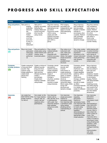## <span id="page-13-0"></span>**PROGRESS AND SKILL EXPECTATION**

| <b>Activity</b>                                    | Year 1                                                                                                                                                         | Year 2                                                                                                                                                                                                | Year <sub>3</sub>                                                                                                                                                                                              | Year 4                                                                                                                                                                                                                                                               | Year 5                                                                                                                                                                                                                                                                                  | Year <sub>6</sub>                                                                                                                                                                                                                                                                                                                                                                                                                    |
|----------------------------------------------------|----------------------------------------------------------------------------------------------------------------------------------------------------------------|-------------------------------------------------------------------------------------------------------------------------------------------------------------------------------------------------------|----------------------------------------------------------------------------------------------------------------------------------------------------------------------------------------------------------------|----------------------------------------------------------------------------------------------------------------------------------------------------------------------------------------------------------------------------------------------------------------------|-----------------------------------------------------------------------------------------------------------------------------------------------------------------------------------------------------------------------------------------------------------------------------------------|--------------------------------------------------------------------------------------------------------------------------------------------------------------------------------------------------------------------------------------------------------------------------------------------------------------------------------------------------------------------------------------------------------------------------------------|
| Sing and perform.<br>$\bf (1)$                     | Take part in a<br>singing<br>ensemble,<br>following<br>the<br>melody.<br>Follow<br>instruction<br>s on how<br>and when<br>to sing. or<br>play an<br>instrument | Take part in<br>singing, accurately<br>following the<br>melody. Make and<br>control long and<br>short sounds,<br>using voices.                                                                        | Sing from memory<br>with accurate pitch<br>attempting to use<br>an octave.<br>Pronounce words<br>within a song<br>clearly and with<br>rhythmic accuracy.<br>Maintain a simple<br>part within a<br>group.       | Pitch singing<br>accurately and<br>independently and<br>apply to rounds<br>while attempting<br>harmony.                                                                                                                                                              | Sing a harmony<br>part confidently<br>and accurately.<br>Sustain a melodic<br>ostinato to<br>accompany other<br>vocalists. Perform<br>with controlled<br>breathing and<br>dynamic change.                                                                                               | Sing from memory<br>with confidence<br>while using a 1.5<br>octave. Perform<br>solos, and as part<br>of a choir.<br>Confidently hold a<br>part within a<br>round, sing<br>harmonies to a<br>counter melody.                                                                                                                                                                                                                          |
| Play and perform.<br>(2)                           | Play a non tuned<br>percussion<br>instrument<br>in a WCET<br>performan<br>ce                                                                                   | Play and perform a<br>simple piece using<br>varied rhythms and<br>melody, using<br>tuned percussion.                                                                                                  | Play a simple<br>melody/ostinato<br>part in an<br>ensemble with<br>rhythmic accuracy,<br>to accompany<br>others.                                                                                               | Play notes on an<br>instrument with<br>care, clarity and<br>awareness of<br>others. Can apply<br>simple dynamics<br>during a<br>predetermined<br>structure.                                                                                                          | Play notes, scales,<br>and be able to use<br>expressive<br>technique on the<br>chosen instrument<br>while performing,<br>with dynamic<br>control.                                                                                                                                       | skilful playing with<br>a control of all the<br>musical elements<br>and a sense of<br>virtuosity. Can play<br>from notation, and<br>improvise with<br>simple scales.                                                                                                                                                                                                                                                                 |
| Compose,<br>arrange, produce.<br>$\left( 3\right)$ | Create a sequence<br>of long and short<br>sounds. Clap<br>rhythms using<br>Kodaly patterns to<br>create small<br>pieces from<br>memory.                        | Create a mixture of<br>different sounds<br>(long and short,<br>loud and quiet,<br>high and low).<br>Choose sounds to<br>create a<br>soundscape.<br>Create short<br>rhythmic Ostinato<br>using Kodaly. | Compose, record<br>and perform<br>rhythmic pieces.<br>Create repeated<br>patterns with a<br>range of<br>instruments.<br>Arrange a<br>structure, combine<br>and control<br>sounds to create<br>unique textures. | Use everyday<br>sounds, and<br>musical<br>instruments, to<br>create ambience<br>and score for film,<br>opera, or theatre.<br>Compose to a<br>drone as<br>accompaniment<br>using both Major/<br>Minor scales. Write<br>songs with<br>structure and<br>dynamic change. | Compose, record<br>and perform<br>rhythmical, and<br>melodic songs.<br>Create repeated<br>patterns, with a<br>range of<br>instruments.<br>Arrange, combine<br>and control<br>sounds to create<br>an effect.<br>Compose Ostinato<br>in a variety of<br>scales for different<br>purposes. | Sing a harmony<br>part confidently<br>and accurately in<br>both solo and<br>ensemble<br>situations. Sustain<br>a melodic ostinato<br>to accompany<br>singing. Perform<br>with demonstrable<br>control of<br>breathing (voice),<br>and skilful playing<br>and control of an<br>instrument, using<br>the inter-related<br>dimensions.                                                                                                  |
| Improvise.<br>$\left( 4\right)$                    | can create four<br>beat rhythms using<br>Kodaly rhythms -<br>Ta, tete sh.                                                                                      | Can create 'on the<br>fly' 4 beat rhythms<br>using ta, tete, sh,<br>using a call and<br>response with a<br>peer/teacher.                                                                              | Can improvise<br>rhythm with ta,<br>tete, tika tika, sh in<br>a call/response<br>with a peer. Can<br>improvise simple 4<br>beat melodies<br>using do-so solfa<br>singing.                                      | Can improvise<br>simple percussive<br>rhythms to<br>accompany music.<br>Can improvise with<br>a pentatonic scale<br>using resting/<br>phrasing and an<br>understanding of<br>ostinati.                                                                               | Can improvise<br>repeating<br>percussive<br>rhythms to<br>accompany music.<br>Can improvise with<br>a variety of scales<br>to music using<br>phrases and<br>repetition,<br>demonstrating an<br>understanding of<br>appropriate scale/<br>modal selection.                               | Can improvise<br>percussive<br>rhythms to<br>accompany music<br>while<br>demonstrating a<br>clear distinction<br>between song<br>elements (verse/<br>chorus). Able to<br>take a lead role<br>within a piece of<br>music. Can<br>improvise with a<br>variety of scales to<br>accompany music<br>using phrasing and<br>repetition, while<br>demonstrating<br>intelligent listening<br>and<br>communication<br>with other<br>musicians. |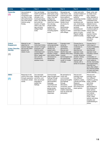| <b>Activity</b>                                                                  | Year 1                                                                                                                                    | Year <sub>2</sub>                                                                                                                                                                                                          | Year <sub>3</sub>                                                                                                                                                                                                                     | Year 4                                                                                                                                                                                                                              | Year 5                                                                                                                                                                                                                                                                              | Year <sub>6</sub>                                                                                                                                                                                                                                                                                                                                      |
|----------------------------------------------------------------------------------|-------------------------------------------------------------------------------------------------------------------------------------------|----------------------------------------------------------------------------------------------------------------------------------------------------------------------------------------------------------------------------|---------------------------------------------------------------------------------------------------------------------------------------------------------------------------------------------------------------------------------------|-------------------------------------------------------------------------------------------------------------------------------------------------------------------------------------------------------------------------------------|-------------------------------------------------------------------------------------------------------------------------------------------------------------------------------------------------------------------------------------------------------------------------------------|--------------------------------------------------------------------------------------------------------------------------------------------------------------------------------------------------------------------------------------------------------------------------------------------------------------------------------------------------------|
| <b>Transcribe</b><br>(5)                                                         | Use symbols to<br>represent a<br>composition and<br>use them to help<br>with performance.<br>Can write simple<br>rhythms using<br>Kodaly. | Can use Kodaly<br>rhythm symbols to<br>represent, and<br>recreate a non-<br>tuned percussion<br>piece. Can identify<br>and write the<br>duration of beats<br>within a bar. Can<br>sign and sing<br>solfege Major<br>scale. | Can transcribe a<br>short piece using<br>letters/notes and<br>stave. Can sign<br>solfege and<br>replicate sofa<br>notes from written.<br>Can develop<br>simple written<br>systems for<br>reading music<br>including graphic<br>score. | Recognise and<br>write minim, rest,<br>crotchet and semi<br>breve patterns<br>using stave, and/or<br>kodaly symbols.<br>Notate chord<br>structures for<br>songs.<br>Demonstrate<br>singing and<br>signing of notes<br>with solfege. | Listen and write<br>musical notation or<br>Kodaly symbol<br>patterns<br>containing crochet,<br>minim, breve,<br>semibreve and<br>rest, Understand<br>the sharp and flat<br>symbols.<br>Compose and<br>transcribe a simple<br>piece of music.<br>Repeat solfege<br>patterns aurally. | Read, write, and<br>re-create music<br>from notation,<br>either standard or<br>created. Use and<br>understand time<br>signatures. Identify<br>detailed texture<br>within music and<br>be able to recreate<br>numerous parts in<br>writing and from<br>written. Can<br>express melody<br>ideas through<br>solfege with major<br>and minor<br>modality.  |
| <b>Critical</b><br><b>Engagement.</b><br>(Listen, Describe,<br>Identify).<br>(6) | Attempt to use<br>adjectives to<br>express happy and<br>sad sounds within<br>popular and<br>classic music.                                | Describe<br>instrument timbre,<br>dynamic changes<br>loud/quiet, and<br>high/low pitch.<br>Understand and<br>express Major,<br>Minor, happy and<br>sad, and use<br>movement to<br>express music.                           | Evaluate music<br>using appropriate<br>vocabulary to<br>identify and<br>explain pitch,<br>dynamics, tempo/<br>duration, timbre,<br>and melody. Relate<br>dimensions to<br>appropriate<br>vocabulary.                                  | Evaluate music<br>using the<br>interrelated<br>dimensions.<br>Discuss and<br>identify likes and<br>dislikes while using<br>musical<br>terminologies and<br>link appropriate<br>words, to modal<br>changes.                          | Choose from a<br>range of musical<br>vocabulary to<br>accurately<br>describe and<br>appraise music<br>including: pitch,<br>rounds, dynamics,<br>duration, timbre,<br>texture, lyrics,<br>harmony and<br>melody, with a<br>sense of occasion.                                        | Choose from a<br>wide range of<br>musical vocabulary<br>to accurately<br>describe and<br>appraise music<br>including: cultural<br>context,<br>combination of<br>musical elements,<br>cyclic patterns,<br>drones, harmonies,<br>accompaniments.<br>Describe how<br>lyrics often reflect<br>the cultural context<br>of music and have<br>social meaning. |
| <b>SMSC</b>                                                                      | Responds to the<br>mood of the music<br>through expressive<br>movement, simple<br>words.                                                  | Can associate<br>feelings with music<br>and lyrics, and<br>then use simple<br>language to<br>explain the<br>feelings.                                                                                                      | Communicate<br>ideas thoughts and<br>feelings through<br>simple musical<br>demonstration,<br>language,<br>movement and<br>other art forms,<br>giving simple<br>justification of<br>reasons for<br>responses.                          | Be perceptive to<br>music and<br>communicate<br>personal thoughts<br>and feelings<br>through<br>discussion,<br>movement, sound-<br>based and other<br>creative responses<br>such as visual arts<br>and poetry.                      | Discuss and<br>evaluate music<br>from different<br>traditions, styles,<br>cultures and times.<br>Respond<br>appropriately to<br>the context and<br>share opinion.                                                                                                                   | Discuss and<br>evaluate music<br>from different<br>traditions, genres,<br>styles, cultures<br>and times.<br>Respond<br>appropriately to<br>the context and<br>share opinion.<br>Discuss political<br>and cultural<br>application of<br>music, share<br>opinion and show<br>empathy and<br>understanding to<br>others.                                  |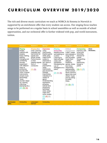# <span id="page-15-0"></span>**CURRICULUM OVERVIEW 2019/2020**

The rich and diverse music curriculum we teach at NORCA & Sistema in Norwich is supported by an enrichment offer that every student can access. Our singing focus teaches songs to be performed on a regular basis in school assemblies as well as outside of school opportunities, and our orchestral offer is further widened with pop, and world instrument, tuition.

|                             | <b>Autumn 1</b>                                                                                                                                                                                                                                                                                                                                                   | <b>Autumn 2</b>                                                                                                                                                                      | <b>Spring 1</b>                                                                                                                                                                                                                                                                                                                                                                                                                             | <b>Spring 2</b>                                                                                                                                                                                                        | <b>Summer 1</b>                                                                                                                                                                                                                                                                                                                                   | <b>Summer 2</b>                                                                                                                                               | <b>Enrichment</b>    |
|-----------------------------|-------------------------------------------------------------------------------------------------------------------------------------------------------------------------------------------------------------------------------------------------------------------------------------------------------------------------------------------------------------------|--------------------------------------------------------------------------------------------------------------------------------------------------------------------------------------|---------------------------------------------------------------------------------------------------------------------------------------------------------------------------------------------------------------------------------------------------------------------------------------------------------------------------------------------------------------------------------------------------------------------------------------------|------------------------------------------------------------------------------------------------------------------------------------------------------------------------------------------------------------------------|---------------------------------------------------------------------------------------------------------------------------------------------------------------------------------------------------------------------------------------------------------------------------------------------------------------------------------------------------|---------------------------------------------------------------------------------------------------------------------------------------------------------------|----------------------|
| Year <sub>3</sub>           | <b>Playing</b><br>Kodaly<br>method with<br>singing.<br>Enjoy making,<br>playing,<br>changing and<br>combining<br>sounds;<br>experiment<br>with different<br>ways of<br>producing<br>sounds with<br>voice, musical<br>instruments,<br>simple music<br>technology,<br>'body<br>sounds' (tappi<br>ng, clicking,<br>marching,<br>stamping etc.).<br>$(2)$ $(3)$ $(4)$ | Singing in a<br>choir. Learning<br>melodies and<br>harmonies for<br>Carols and<br>Winter songs.<br>Performing as<br>a choir,<br>reading signals<br>from a<br>conductor.<br>$(1)$ (5) | <b>Improvise</b><br>using<br>instruments.<br>Explore genre<br>while using<br>major/minor<br>scales to<br>improvise in<br>the 'style of'.<br>Create<br>polyrhythms<br>using<br>instruments<br>and record the<br>findings.<br>Improvising<br>melodies in a<br>variety of<br>genre.<br>Understanding<br>expression,<br>phrasing,<br>ostinati and<br>employing<br>technique<br>when using<br>major and<br>minor scales.<br>$(2)$ (4) (6)<br>(7) | Playing,<br><b>Transcribe</b><br>Reading score<br>and playing on<br>a piano.<br>Learning to<br>read and play<br>notes with<br>expression.<br>Developing the<br>use of<br>arpeggios on a<br>piano.<br>$(2)$ $(6)$ $(5)$ | <b>Critical</b><br>engagement<br>Listen, create<br>and evaluate a<br>range of live<br>and recorded<br>music from<br>different<br>traditions,<br>genres, styles<br>and times,<br>responding<br>appropriately<br>to the context.<br>Share opinions<br>about own and<br>others' music<br>and be willing<br>to justify<br>these.<br>$(6)$ $(3)$ $(7)$ | <b>Composing</b><br>harmony with<br>score and<br>recording<br>themes for<br>media.<br>Songwriting<br>skills,<br>performing<br>songs to<br>peers.<br>(3)(1)(7) | Choir.<br>Orchestra. |
| <b>Curriculum</b><br>links. | Computing                                                                                                                                                                                                                                                                                                                                                         | Languages -<br>German                                                                                                                                                                | <b>Computing</b>                                                                                                                                                                                                                                                                                                                                                                                                                            |                                                                                                                                                                                                                        |                                                                                                                                                                                                                                                                                                                                                   |                                                                                                                                                               |                      |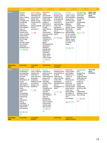|                             | <b>Autumn 1</b>                                                                                                                                                                                                                                                                                                                                                             | <b>Autumn 2</b>                                                                                                                                                                      | <b>Spring 1</b>                                                                                                                                                                                                                                                                                                                                                                                                                             | <b>Spring 2</b>                                                                                                                                                                                                                     | <b>Summer 1</b>                                                                                                                                                                                                                                                                                                                               | <b>Summer 2</b>                                                                                                                                                                                                                                                 | <b>Enrichment</b>                                   |
|-----------------------------|-----------------------------------------------------------------------------------------------------------------------------------------------------------------------------------------------------------------------------------------------------------------------------------------------------------------------------------------------------------------------------|--------------------------------------------------------------------------------------------------------------------------------------------------------------------------------------|---------------------------------------------------------------------------------------------------------------------------------------------------------------------------------------------------------------------------------------------------------------------------------------------------------------------------------------------------------------------------------------------------------------------------------------------|-------------------------------------------------------------------------------------------------------------------------------------------------------------------------------------------------------------------------------------|-----------------------------------------------------------------------------------------------------------------------------------------------------------------------------------------------------------------------------------------------------------------------------------------------------------------------------------------------|-----------------------------------------------------------------------------------------------------------------------------------------------------------------------------------------------------------------------------------------------------------------|-----------------------------------------------------|
| Year 4                      | <b>Playing</b><br>Kodaly<br>method.<br>Enjoy making,<br>playing,<br>changing and<br>combining<br>sounds;<br>experiment<br>with different<br>ways of<br>producing<br>sounds with<br>voice, musical<br>instruments,<br>simple music<br>technology,<br>'body<br>sounds' (tappi<br>ng, clicking,<br>marching,<br>stamping etc.).<br>$(2)$ $(3)$ $(4)$                           | Singing in a<br>choir. Learning<br>melodies and<br>harmonies for<br>Carols and<br>Winter songs.<br>Performing as<br>a choir,<br>reading signals<br>from a<br>conductor.<br>$(1)$ (5) | <b>Improvise</b><br>using<br>instruments.<br>Explore genre<br>while using<br>major/minor<br>scales to<br>improvise in<br>the 'style of'.<br>Create<br>polyrhythms<br>using<br>instruments<br>and record the<br>findings.<br>Improvising<br>melodies in a<br>variety of<br>genre.<br>Understanding<br>expression,<br>phrasing,<br>ostinati and<br>employing<br>technique<br>when using<br>major and<br>minor scales.<br>$(2)$ (4) (6)<br>(7) | Playing,<br><b>Transcribe</b><br>Reading and<br>writing score<br>while playing<br>on a piano.<br>Learning to<br>read and play<br>notes with<br>expression.<br>Developing the<br>use of<br>arpeggios on a<br>piano.<br>$(2)$ (6) (5) | <b>Critical</b><br>engagement<br>Listen, create<br>and evaluate a<br>range of live<br>and recorded<br>music from<br>different<br>traditions,<br>genres, styles<br>and times,<br>responding<br>appropriately<br>to the context.<br>Share opinions<br>about own and<br>others' music<br>and be willing<br>to justify<br>these.<br>$(6)$ (3) (7) | <b>Composing</b><br>harmony with<br>score and<br>recording<br>themes for<br>media.<br>Songwriting<br>skills,<br>performing<br>songs to<br>peers.<br>(3)(1)(7)                                                                                                   | Guitar club.<br>Piano club.<br>Choir.<br>Orchestra. |
| <b>Curriculum</b><br>links. | Computing                                                                                                                                                                                                                                                                                                                                                                   | Languages -<br>Latin                                                                                                                                                                 | Computing.                                                                                                                                                                                                                                                                                                                                                                                                                                  | Computing -<br>recording                                                                                                                                                                                                            |                                                                                                                                                                                                                                                                                                                                               |                                                                                                                                                                                                                                                                 |                                                     |
| Year 5                      | <b>Composition.</b><br>Understand<br>and appraise<br>music using<br>the inter<br>related<br>dimensions of<br>music.<br>Learning to<br>take apart a<br>piece of music<br>while<br>explaining<br>(and<br>composing)<br>the texture's,<br>individually<br>with<br>expression.<br>Using<br>sampling<br>technology to<br>experiment<br>with texture.<br>$(3)$ $(5)$ $(6)$<br>(7) | Singing as a<br>choir. Learning<br>melody and<br>harmony in<br>both solo and<br>ensemble<br>scenarios.<br>Perform Carols<br>and Winter<br>songs to an<br>audience.<br>$(1)$ (5)      | <b>Playing</b><br>Learning to<br>perform as an<br>ensemble<br>while exploring<br>timbre and<br>texture of<br>everyday<br>sound. Enjoy<br>making,<br>playing,<br>changing and<br>combining<br>sounds;<br>experiment<br>with different<br>ways of<br>producing<br>sounds with<br>voice, musical<br>instruments,<br>simple every<br>day sounds.<br>$(2)$ (4) $(6)$<br>(7)                                                                      | <b>Transcribe.</b><br>Reading score<br>and playing on<br>a piano.<br>Learning to<br>read and play<br>notes with<br>expression.<br>Developing the<br>use of<br>arpeggios on a<br>piano.<br>$(1)$ $(2)$ $(6)$<br>(5)                  | <b>Improvise</b><br>using scales<br>and modes<br>relevant to a<br>variety of<br>genres.<br>Choose and<br>focus on<br>particular<br>pieces for live<br>and recorded<br>performance.<br>Learn and<br>demonstrate<br>the ability to<br>discuss music<br>with<br>knowledge.<br>$(4)$ (6) (7)                                                      | <b>Composing</b><br>and<br>songwriting.<br>Creating<br>original pieces<br>while learning<br>to write the<br>music for<br>reference.<br>Study<br>songwriting<br>structure and<br>the<br>relationship<br>between chord<br>and melody.<br>$(1)$ $(3)$ $(5)$<br>(6) | Tech club.<br>Choir.<br>Orchestra.                  |
| <b>Curriculum</b><br>links. | Computing                                                                                                                                                                                                                                                                                                                                                                   | Languages -<br>Spanish                                                                                                                                                               |                                                                                                                                                                                                                                                                                                                                                                                                                                             | <b>Computing</b>                                                                                                                                                                                                                    | Computing -<br>problem solving                                                                                                                                                                                                                                                                                                                |                                                                                                                                                                                                                                                                 |                                                     |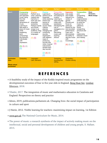|                                   | <b>Autumn 1</b>                                                                                                                                                                                                                                                                                      | <b>Autumn 2</b>                                                                                                                                                                                                                     | <b>Spring 1</b>                                                                                                                                                                                                                                                                                                                                                | <b>Spring 2</b>                                                                                                                                                                                                                                                      | <b>Summer 1</b>                                                                                                                                                                                                                                                                        | <b>Summer 2</b>                                                                                                                                                                                                                                                   | <b>Enrichment</b>                     |
|-----------------------------------|------------------------------------------------------------------------------------------------------------------------------------------------------------------------------------------------------------------------------------------------------------------------------------------------------|-------------------------------------------------------------------------------------------------------------------------------------------------------------------------------------------------------------------------------------|----------------------------------------------------------------------------------------------------------------------------------------------------------------------------------------------------------------------------------------------------------------------------------------------------------------------------------------------------------------|----------------------------------------------------------------------------------------------------------------------------------------------------------------------------------------------------------------------------------------------------------------------|----------------------------------------------------------------------------------------------------------------------------------------------------------------------------------------------------------------------------------------------------------------------------------------|-------------------------------------------------------------------------------------------------------------------------------------------------------------------------------------------------------------------------------------------------------------------|---------------------------------------|
| Year 6                            | <b>Composing.</b><br>Understand<br>and appraise<br>music using<br>the inter<br>related<br>dimensions of<br>music.<br>Learning to<br>take apart a<br>piece of music<br>while<br>explaining<br>(and<br>composing)<br>the texture's,<br>individually<br>with<br>expression.<br>$(3)$ $(5)$ $(6)$<br>(7) | Singing.<br>Perform as a<br>choir. Learning<br>melody and<br>harmony in<br>both solo and<br>ensemble<br>scenarios.<br>Perform Carols<br>and Winter<br>songs to an<br>audience. Sing<br>in a variety of<br>languages.<br>$(1)$ $(5)$ | Playing.<br>Learning to<br>perform as an<br>ensemble<br>while exploring<br>timbre and<br>texture of<br>everyday<br>sound. Enjoy<br>making,<br>playing,<br>changing and<br>combining<br>sounds;<br>experiment<br>with different<br>ways of<br>producing<br>sounds with<br>voice, musical<br>instruments,<br>simple every<br>day sounds.<br>$(2)$ (4) (6)<br>(7) | <b>Transcribe.</b><br>Reading score<br>and playing on<br>a piano.<br>Learning to<br>read and play<br>notes with<br>expression.<br>Developing the<br>use of<br>arpeggios on a<br>piano.<br>Recording<br>music and<br>layering<br>texture.<br>$(1)$ $(2)$ $(6)$<br>(5) | <b>Improvise</b><br>Use scales<br>and modes<br>relevant to a<br>variety of<br>genres.<br>Choose and<br>focus on<br>particular<br>pieces for live<br>and recorded<br>performance.<br>Learn and<br>demonstrate<br>the ability to<br>discuss music<br>with<br>knowledge.<br>$(4)$ (6) (7) | <b>Composition</b><br>and<br>songwriting.<br>Creating<br>original pieces<br>while learning<br>to write the<br>music for<br>reference.<br>Study<br>songwriting<br>structure and<br>the<br>relationship<br>between chord<br>and melody.<br>$(1)$ $(3)$ $(5)$<br>(6) | Choir.<br>Orchestra.<br>Media design. |
| <b>Curriculum</b><br>links.       | Computing                                                                                                                                                                                                                                                                                            | Languages -<br>Latin, Germanic.                                                                                                                                                                                                     |                                                                                                                                                                                                                                                                                                                                                                | Computing,<br>recording and<br>editing.                                                                                                                                                                                                                              | Computing -<br><b>Problem solving</b>                                                                                                                                                                                                                                                  |                                                                                                                                                                                                                                                                   |                                       |
| <b>Whole school</b><br>enrichment |                                                                                                                                                                                                                                                                                                      |                                                                                                                                                                                                                                     |                                                                                                                                                                                                                                                                                                                                                                |                                                                                                                                                                                                                                                                      |                                                                                                                                                                                                                                                                                        |                                                                                                                                                                                                                                                                   |                                       |

## <span id="page-17-0"></span>**REFERENCES**

- A feasibility study of the impact of the Kodály-inspired music programme on the developmental outcomes of four to five year olds in England. [Beng Huat See,](https://www.semanticscholar.org/author/Beng-Huat-See/73804811) Lindsay [Ibbotson](https://www.semanticscholar.org/author/Lindsay-Ibbotson/118272474), 2018.
- Viladot, 2017. The integration of music and mathematics education in Catalonia and England: Perspectives on theory and practice
- Idrees, 2019, publications.parliament.uk. Changing lives: the social impact of participation in culture and sport
- J Hattie, 2012. Visible learning for teachers: maximizing impact on learning, 1st Edition
- [www.gov.uk](http://www.gov.uk) The National Curriculum for Music, 2014.
- The power of music: a research synthesis of the impact of actively making music on the intellectual, social and personal development of children and young people, S. Hallam. 2015.